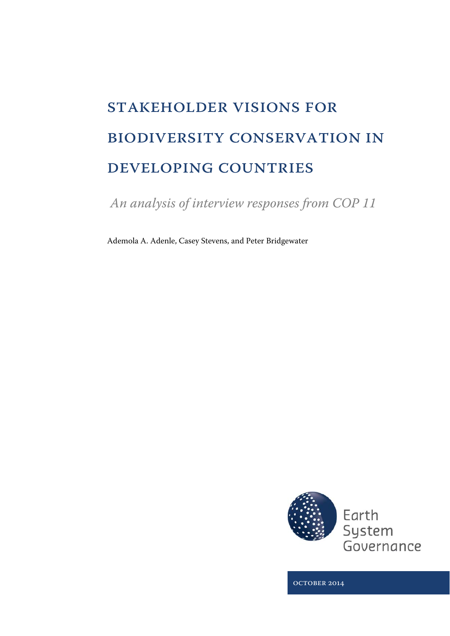# Stakeholder visions for biodiversity conservation in developing countries

 *An analysis of interview responses from COP 11* 

Ademola A. Adenle, Casey Stevens, and Peter Bridgewater



OCTOBER 2014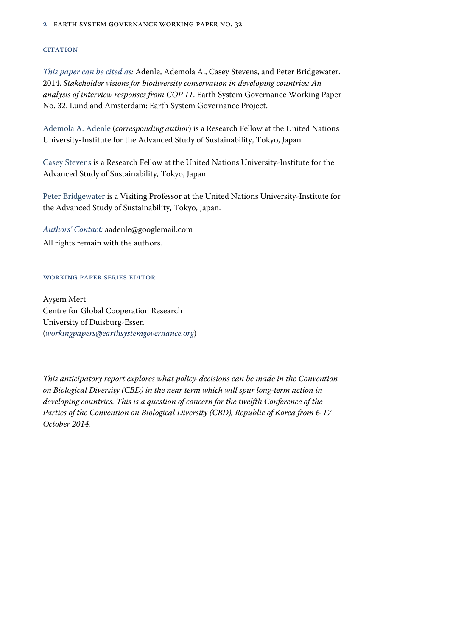#### 2 | Earth System Governance Working Paper No. 32

#### **CITATION**

*This paper can be cited as:* Adenle, Ademola A., Casey Stevens, and Peter Bridgewater. 2014. *Stakeholder visions for biodiversity conservation in developing countries: An analysis of interview responses from COP 11*. Earth System Governance Working Paper No. 32. Lund and Amsterdam: Earth System Governance Project.

Ademola A. Adenle (*corresponding author*) is a Research Fellow at the United Nations University-Institute for the Advanced Study of Sustainability, Tokyo, Japan.

Casey Stevens is a Research Fellow at the United Nations University-Institute for the Advanced Study of Sustainability, Tokyo, Japan.

Peter Bridgewater is a Visiting Professor at the United Nations University-Institute for the Advanced Study of Sustainability, Tokyo, Japan.

*Authors' Contact:* aadenle@googlemail.com All rights remain with the authors.

#### Working Paper Series Editor

Ayşem Mert Centre for Global Cooperation Research University of Duisburg-Essen (*workingpapers@earthsystemgovernance.org*)

*This anticipatory report explores what policy-decisions can be made in the Convention on Biological Diversity (CBD) in the near term which will spur long-term action in developing countries. This is a question of concern for the twelfth Conference of the Parties of the Convention on Biological Diversity (CBD), Republic of Korea from 6-17 October 2014.*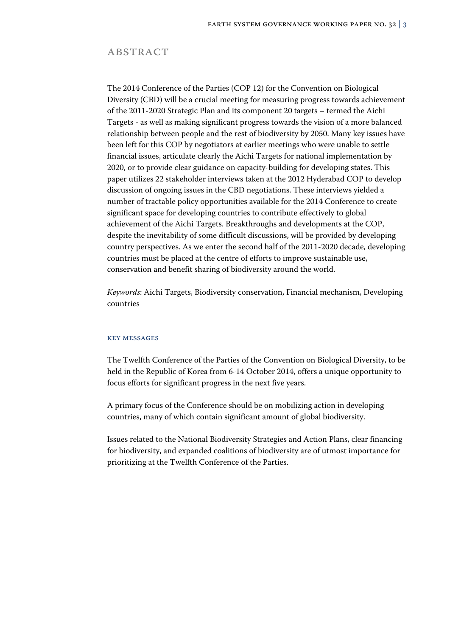### **ABSTRACT**

The 2014 Conference of the Parties (COP 12) for the Convention on Biological Diversity (CBD) will be a crucial meeting for measuring progress towards achievement of the 2011-2020 Strategic Plan and its component 20 targets – termed the Aichi Targets - as well as making significant progress towards the vision of a more balanced relationship between people and the rest of biodiversity by 2050. Many key issues have been left for this COP by negotiators at earlier meetings who were unable to settle financial issues, articulate clearly the Aichi Targets for national implementation by 2020, or to provide clear guidance on capacity-building for developing states. This paper utilizes 22 stakeholder interviews taken at the 2012 Hyderabad COP to develop discussion of ongoing issues in the CBD negotiations. These interviews yielded a number of tractable policy opportunities available for the 2014 Conference to create significant space for developing countries to contribute effectively to global achievement of the Aichi Targets. Breakthroughs and developments at the COP, despite the inevitability of some difficult discussions, will be provided by developing country perspectives. As we enter the second half of the 2011-2020 decade, developing countries must be placed at the centre of efforts to improve sustainable use, conservation and benefit sharing of biodiversity around the world.

*Keywords*: Aichi Targets, Biodiversity conservation, Financial mechanism, Developing countries

#### Key Messages

The Twelfth Conference of the Parties of the Convention on Biological Diversity, to be held in the Republic of Korea from 6-14 October 2014, offers a unique opportunity to focus efforts for significant progress in the next five years.

A primary focus of the Conference should be on mobilizing action in developing countries, many of which contain significant amount of global biodiversity.

Issues related to the National Biodiversity Strategies and Action Plans, clear financing for biodiversity, and expanded coalitions of biodiversity are of utmost importance for prioritizing at the Twelfth Conference of the Parties.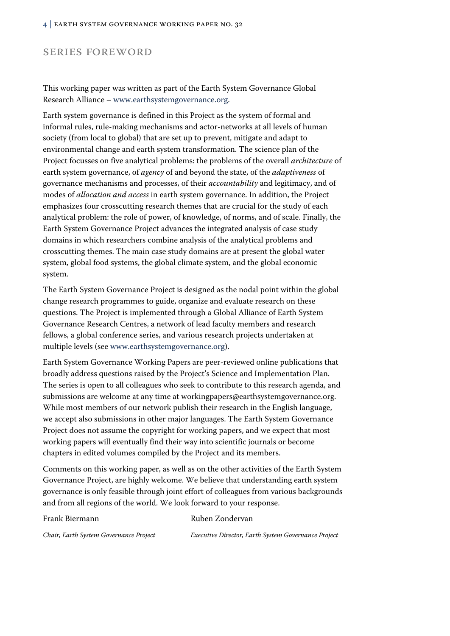## Series Foreword

This working paper was written as part of the Earth System Governance Global Research Alliance – www.earthsystemgovernance.org.

Earth system governance is defined in this Project as the system of formal and informal rules, rule-making mechanisms and actor-networks at all levels of human society (from local to global) that are set up to prevent, mitigate and adapt to environmental change and earth system transformation. The science plan of the Project focusses on five analytical problems: the problems of the overall *architecture* of earth system governance, of *agency* of and beyond the state, of the *adaptiveness* of governance mechanisms and processes, of their *accountability* and legitimacy, and of modes of *allocation and access* in earth system governance. In addition, the Project emphasizes four crosscutting research themes that are crucial for the study of each analytical problem: the role of power, of knowledge, of norms, and of scale. Finally, the Earth System Governance Project advances the integrated analysis of case study domains in which researchers combine analysis of the analytical problems and crosscutting themes. The main case study domains are at present the global water system, global food systems, the global climate system, and the global economic system.

The Earth System Governance Project is designed as the nodal point within the global change research programmes to guide, organize and evaluate research on these questions. The Project is implemented through a Global Alliance of Earth System Governance Research Centres, a network of lead faculty members and research fellows, a global conference series, and various research projects undertaken at multiple levels (see www.earthsystemgovernance.org).

Earth System Governance Working Papers are peer-reviewed online publications that broadly address questions raised by the Project's Science and Implementation Plan. The series is open to all colleagues who seek to contribute to this research agenda, and submissions are welcome at any time at workingpapers@earthsystemgovernance.org. While most members of our network publish their research in the English language, we accept also submissions in other major languages. The Earth System Governance Project does not assume the copyright for working papers, and we expect that most working papers will eventually find their way into scientific journals or become chapters in edited volumes compiled by the Project and its members.

Comments on this working paper, as well as on the other activities of the Earth System Governance Project, are highly welcome. We believe that understanding earth system governance is only feasible through joint effort of colleagues from various backgrounds and from all regions of the world. We look forward to your response.

Frank Biermann ann ann an Ruben Zondervan

*Chair, Earth System Governance Project Executive Director, Earth System Governance Project*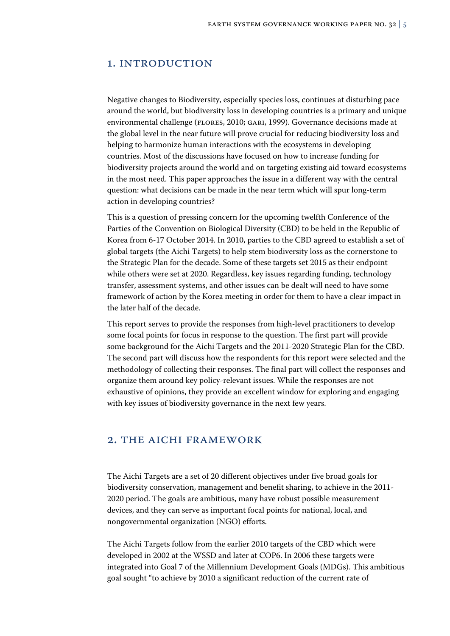## 1. INTRODUCTION

Negative changes to Biodiversity, especially species loss, continues at disturbing pace around the world, but biodiversity loss in developing countries is a primary and unique environmental challenge (FLORES, 2010; GARI, 1999). Governance decisions made at the global level in the near future will prove crucial for reducing biodiversity loss and helping to harmonize human interactions with the ecosystems in developing countries. Most of the discussions have focused on how to increase funding for biodiversity projects around the world and on targeting existing aid toward ecosystems in the most need. This paper approaches the issue in a different way with the central question: what decisions can be made in the near term which will spur long-term action in developing countries?

This is a question of pressing concern for the upcoming twelfth Conference of the Parties of the Convention on Biological Diversity (CBD) to be held in the Republic of Korea from 6-17 October 2014. In 2010, parties to the CBD agreed to establish a set of global targets (the Aichi Targets) to help stem biodiversity loss as the cornerstone to the Strategic Plan for the decade. Some of these targets set 2015 as their endpoint while others were set at 2020. Regardless, key issues regarding funding, technology transfer, assessment systems, and other issues can be dealt will need to have some framework of action by the Korea meeting in order for them to have a clear impact in the later half of the decade.

This report serves to provide the responses from high-level practitioners to develop some focal points for focus in response to the question. The first part will provide some background for the Aichi Targets and the 2011-2020 Strategic Plan for the CBD. The second part will discuss how the respondents for this report were selected and the methodology of collecting their responses. The final part will collect the responses and organize them around key policy-relevant issues. While the responses are not exhaustive of opinions, they provide an excellent window for exploring and engaging with key issues of biodiversity governance in the next few years.

## 2. The Aichi Framework

The Aichi Targets are a set of 20 different objectives under five broad goals for biodiversity conservation, management and benefit sharing, to achieve in the 2011- 2020 period. The goals are ambitious, many have robust possible measurement devices, and they can serve as important focal points for national, local, and nongovernmental organization (NGO) efforts.

The Aichi Targets follow from the earlier 2010 targets of the CBD which were developed in 2002 at the WSSD and later at COP6. In 2006 these targets were integrated into Goal 7 of the Millennium Development Goals (MDGs). This ambitious goal sought "to achieve by 2010 a significant reduction of the current rate of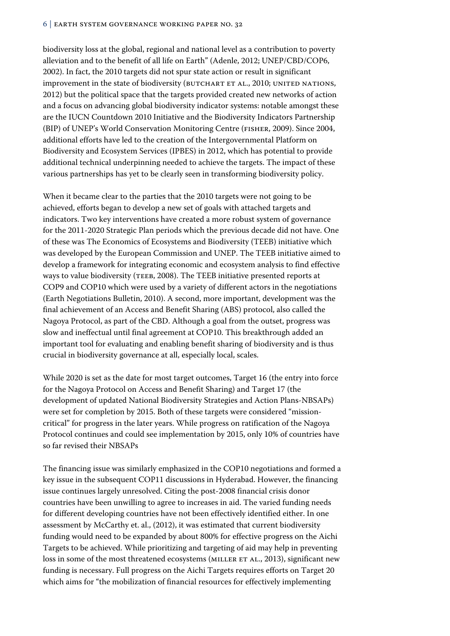#### 6 | Earth System Governance Working Paper No. 32

biodiversity loss at the global, regional and national level as a contribution to poverty alleviation and to the benefit of all life on Earth" (Adenle, 2012; UNEP/CBD/COP6, 2002). In fact, the 2010 targets did not spur state action or result in significant improvement in the state of biodiversity (BUTCHART ET AL., 2010; UNITED NATIONS, 2012) but the political space that the targets provided created new networks of action and a focus on advancing global biodiversity indicator systems: notable amongst these are the IUCN Countdown 2010 Initiative and the Biodiversity Indicators Partnership (BIP) of UNEP's World Conservation Monitoring Centre (Fisher, 2009). Since 2004, additional efforts have led to the creation of the Intergovernmental Platform on Biodiversity and Ecosystem Services (IPBES) in 2012, which has potential to provide additional technical underpinning needed to achieve the targets. The impact of these various partnerships has yet to be clearly seen in transforming biodiversity policy.

When it became clear to the parties that the 2010 targets were not going to be achieved, efforts began to develop a new set of goals with attached targets and indicators. Two key interventions have created a more robust system of governance for the 2011-2020 Strategic Plan periods which the previous decade did not have. One of these was The Economics of Ecosystems and Biodiversity (TEEB) initiative which was developed by the European Commission and UNEP. The TEEB initiative aimed to develop a framework for integrating economic and ecosystem analysis to find effective ways to value biodiversity (TEEB, 2008). The TEEB initiative presented reports at COP9 and COP10 which were used by a variety of different actors in the negotiations (Earth Negotiations Bulletin, 2010). A second, more important, development was the final achievement of an Access and Benefit Sharing (ABS) protocol, also called the Nagoya Protocol, as part of the CBD. Although a goal from the outset, progress was slow and ineffectual until final agreement at COP10. This breakthrough added an important tool for evaluating and enabling benefit sharing of biodiversity and is thus crucial in biodiversity governance at all, especially local, scales.

While 2020 is set as the date for most target outcomes, Target 16 (the entry into force for the Nagoya Protocol on Access and Benefit Sharing) and Target 17 (the development of updated National Biodiversity Strategies and Action Plans-NBSAPs) were set for completion by 2015. Both of these targets were considered "missioncritical" for progress in the later years. While progress on ratification of the Nagoya Protocol continues and could see implementation by 2015, only 10% of countries have so far revised their NBSAPs

The financing issue was similarly emphasized in the COP10 negotiations and formed a key issue in the subsequent COP11 discussions in Hyderabad. However, the financing issue continues largely unresolved. Citing the post-2008 financial crisis donor countries have been unwilling to agree to increases in aid. The varied funding needs for different developing countries have not been effectively identified either. In one assessment by McCarthy et. al., (2012), it was estimated that current biodiversity funding would need to be expanded by about 800% for effective progress on the Aichi Targets to be achieved. While prioritizing and targeting of aid may help in preventing loss in some of the most threatened ecosystems (MILLER ET AL., 2013), significant new funding is necessary. Full progress on the Aichi Targets requires efforts on Target 20 which aims for "the mobilization of financial resources for effectively implementing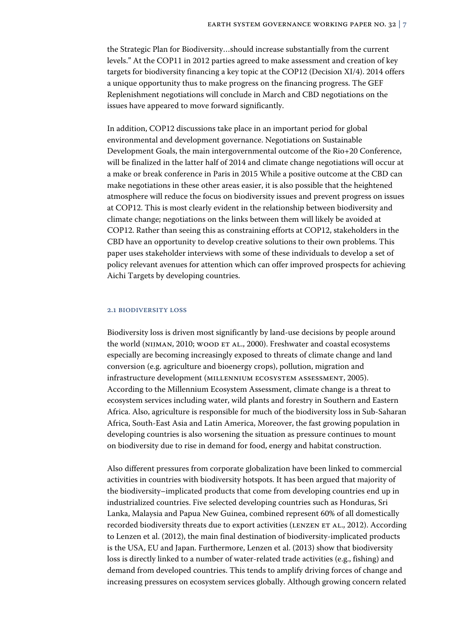the Strategic Plan for Biodiversity…should increase substantially from the current levels." At the COP11 in 2012 parties agreed to make assessment and creation of key targets for biodiversity financing a key topic at the COP12 (Decision XI/4). 2014 offers a unique opportunity thus to make progress on the financing progress. The GEF Replenishment negotiations will conclude in March and CBD negotiations on the issues have appeared to move forward significantly.

In addition, COP12 discussions take place in an important period for global environmental and development governance. Negotiations on Sustainable Development Goals, the main intergovernmental outcome of the Rio+20 Conference, will be finalized in the latter half of 2014 and climate change negotiations will occur at a make or break conference in Paris in 2015 While a positive outcome at the CBD can make negotiations in these other areas easier, it is also possible that the heightened atmosphere will reduce the focus on biodiversity issues and prevent progress on issues at COP12. This is most clearly evident in the relationship between biodiversity and climate change; negotiations on the links between them will likely be avoided at COP12. Rather than seeing this as constraining efforts at COP12, stakeholders in the CBD have an opportunity to develop creative solutions to their own problems. This paper uses stakeholder interviews with some of these individuals to develop a set of policy relevant avenues for attention which can offer improved prospects for achieving Aichi Targets by developing countries.

#### 2.1 Biodiversity loss

Biodiversity loss is driven most significantly by land-use decisions by people around the world (NIJMAN, 2010; WOOD ET AL., 2000). Freshwater and coastal ecosystems especially are becoming increasingly exposed to threats of climate change and land conversion (e.g. agriculture and bioenergy crops), pollution, migration and infrastructure development (Millennium Ecosystem Assessment, 2005). According to the Millennium Ecosystem Assessment, climate change is a threat to ecosystem services including water, wild plants and forestry in Southern and Eastern Africa. Also, agriculture is responsible for much of the biodiversity loss in Sub-Saharan Africa, South-East Asia and Latin America, Moreover, the fast growing population in developing countries is also worsening the situation as pressure continues to mount on biodiversity due to rise in demand for food, energy and habitat construction.

Also different pressures from corporate globalization have been linked to commercial activities in countries with biodiversity hotspots. It has been argued that majority of the biodiversity–implicated products that come from developing countries end up in industrialized countries. Five selected developing countries such as Honduras, Sri Lanka, Malaysia and Papua New Guinea, combined represent 60% of all domestically recorded biodiversity threats due to export activities (Lenzen et al., 2012). According to Lenzen et al. (2012), the main final destination of biodiversity-implicated products is the USA, EU and Japan. Furthermore, Lenzen et al. (2013) show that biodiversity loss is directly linked to a number of water-related trade activities (e.g., fishing) and demand from developed countries. This tends to amplify driving forces of change and increasing pressures on ecosystem services globally. Although growing concern related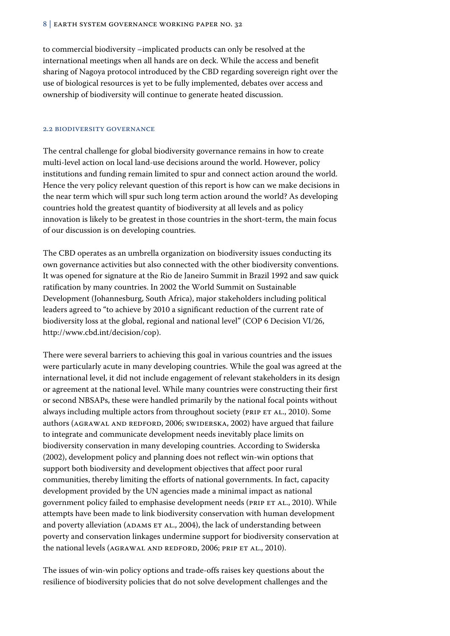to commercial biodiversity –implicated products can only be resolved at the international meetings when all hands are on deck. While the access and benefit sharing of Nagoya protocol introduced by the CBD regarding sovereign right over the use of biological resources is yet to be fully implemented, debates over access and ownership of biodiversity will continue to generate heated discussion.

#### 2.2 Biodiversity governance

The central challenge for global biodiversity governance remains in how to create multi-level action on local land-use decisions around the world. However, policy institutions and funding remain limited to spur and connect action around the world. Hence the very policy relevant question of this report is how can we make decisions in the near term which will spur such long term action around the world? As developing countries hold the greatest quantity of biodiversity at all levels and as policy innovation is likely to be greatest in those countries in the short-term, the main focus of our discussion is on developing countries.

The CBD operates as an umbrella organization on biodiversity issues conducting its own governance activities but also connected with the other biodiversity conventions. It was opened for signature at the Rio de Janeiro Summit in Brazil 1992 and saw quick ratification by many countries. In 2002 the World Summit on Sustainable Development (Johannesburg, South Africa), major stakeholders including political leaders agreed to "to achieve by 2010 a significant reduction of the current rate of biodiversity loss at the global, regional and national level" (COP 6 Decision VI/26, http://www.cbd.int/decision/cop).

There were several barriers to achieving this goal in various countries and the issues were particularly acute in many developing countries. While the goal was agreed at the international level, it did not include engagement of relevant stakeholders in its design or agreement at the national level. While many countries were constructing their first or second NBSAPs, these were handled primarily by the national focal points without always including multiple actors from throughout society (PRIP ET AL., 2010). Some authors (Agrawal and Redford, 2006; Swiderska, 2002) have argued that failure to integrate and communicate development needs inevitably place limits on biodiversity conservation in many developing countries. According to Swiderska (2002), development policy and planning does not reflect win-win options that support both biodiversity and development objectives that affect poor rural communities, thereby limiting the efforts of national governments. In fact, capacity development provided by the UN agencies made a minimal impact as national government policy failed to emphasise development needs (Prip et al., 2010). While attempts have been made to link biodiversity conservation with human development and poverty alleviation (ADAMS ET AL., 2004), the lack of understanding between poverty and conservation linkages undermine support for biodiversity conservation at the national levels (AGRAWAL AND REDFORD, 2006; PRIP ET AL., 2010).

The issues of win-win policy options and trade-offs raises key questions about the resilience of biodiversity policies that do not solve development challenges and the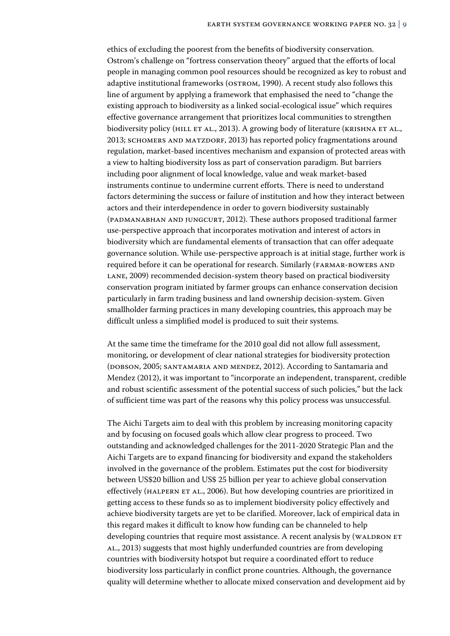ethics of excluding the poorest from the benefits of biodiversity conservation. Ostrom's challenge on "fortress conservation theory" argued that the efforts of local people in managing common pool resources should be recognized as key to robust and adaptive institutional frameworks (Ostrom, 1990). A recent study also follows this line of argument by applying a framework that emphasised the need to "change the existing approach to biodiversity as a linked social-ecological issue" which requires effective governance arrangement that prioritizes local communities to strengthen biodiversity policy (HILL ET AL., 2013). A growing body of literature (KRISHNA ET AL., 2013; SCHOMERS AND MATZDORF, 2013) has reported policy fragmentations around regulation, market-based incentives mechanism and expansion of protected areas with a view to halting biodiversity loss as part of conservation paradigm. But barriers including poor alignment of local knowledge, value and weak market-based instruments continue to undermine current efforts. There is need to understand factors determining the success or failure of institution and how they interact between actors and their interdependence in order to govern biodiversity sustainably (Padmanabhan and Jungcurt, 2012). These authors proposed traditional farmer use-perspective approach that incorporates motivation and interest of actors in biodiversity which are fundamental elements of transaction that can offer adequate governance solution. While use-perspective approach is at initial stage, further work is required before it can be operational for research. Similarly (Farmar-Bowers and Lane, 2009) recommended decision-system theory based on practical biodiversity conservation program initiated by farmer groups can enhance conservation decision particularly in farm trading business and land ownership decision-system. Given smallholder farming practices in many developing countries, this approach may be difficult unless a simplified model is produced to suit their systems.

At the same time the timeframe for the 2010 goal did not allow full assessment, monitoring, or development of clear national strategies for biodiversity protection (Dobson, 2005; Santamaria and Mendez, 2012). According to Santamaria and Mendez (2012), it was important to "incorporate an independent, transparent, credible and robust scientific assessment of the potential success of such policies," but the lack of sufficient time was part of the reasons why this policy process was unsuccessful.

The Aichi Targets aim to deal with this problem by increasing monitoring capacity and by focusing on focused goals which allow clear progress to proceed. Two outstanding and acknowledged challenges for the 2011-2020 Strategic Plan and the Aichi Targets are to expand financing for biodiversity and expand the stakeholders involved in the governance of the problem. Estimates put the cost for biodiversity between US\$20 billion and US\$ 25 billion per year to achieve global conservation effectively (HALPERN ET AL., 2006). But how developing countries are prioritized in getting access to these funds so as to implement biodiversity policy effectively and achieve biodiversity targets are yet to be clarified. Moreover, lack of empirical data in this regard makes it difficult to know how funding can be channeled to help developing countries that require most assistance. A recent analysis by (WALDRON ET al., 2013) suggests that most highly underfunded countries are from developing countries with biodiversity hotspot but require a coordinated effort to reduce biodiversity loss particularly in conflict prone countries. Although, the governance quality will determine whether to allocate mixed conservation and development aid by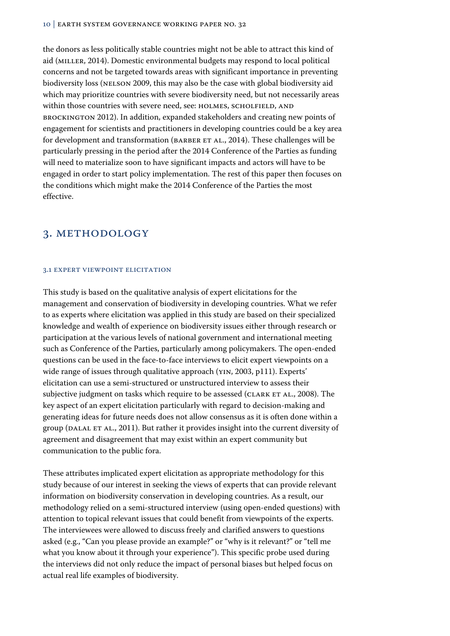the donors as less politically stable countries might not be able to attract this kind of aid (Miller, 2014). Domestic environmental budgets may respond to local political concerns and not be targeted towards areas with significant importance in preventing biodiversity loss (Nelson 2009, this may also be the case with global biodiversity aid which may prioritize countries with severe biodiversity need, but not necessarily areas within those countries with severe need, see: HOLMES, SCHOLFIELD, AND Brockington 2012). In addition, expanded stakeholders and creating new points of engagement for scientists and practitioners in developing countries could be a key area for development and transformation (BARBER ET AL., 2014). These challenges will be particularly pressing in the period after the 2014 Conference of the Parties as funding will need to materialize soon to have significant impacts and actors will have to be engaged in order to start policy implementation. The rest of this paper then focuses on the conditions which might make the 2014 Conference of the Parties the most effective.

## 3. Methodology

#### 3.1 Expert viewpoint elicitation

This study is based on the qualitative analysis of expert elicitations for the management and conservation of biodiversity in developing countries. What we refer to as experts where elicitation was applied in this study are based on their specialized knowledge and wealth of experience on biodiversity issues either through research or participation at the various levels of national government and international meeting such as Conference of the Parties, particularly among policymakers. The open-ended questions can be used in the face-to-face interviews to elicit expert viewpoints on a wide range of issues through qualitative approach (Yin, 2003, p111). Experts' elicitation can use a semi-structured or unstructured interview to assess their subjective judgment on tasks which require to be assessed (CLARK ET AL., 2008). The key aspect of an expert elicitation particularly with regard to decision-making and generating ideas for future needs does not allow consensus as it is often done within a group (Dalal et al., 2011). But rather it provides insight into the current diversity of agreement and disagreement that may exist within an expert community but communication to the public fora.

These attributes implicated expert elicitation as appropriate methodology for this study because of our interest in seeking the views of experts that can provide relevant information on biodiversity conservation in developing countries. As a result, our methodology relied on a semi-structured interview (using open-ended questions) with attention to topical relevant issues that could benefit from viewpoints of the experts. The interviewees were allowed to discuss freely and clarified answers to questions asked (e.g., "Can you please provide an example?" or "why is it relevant?" or "tell me what you know about it through your experience"). This specific probe used during the interviews did not only reduce the impact of personal biases but helped focus on actual real life examples of biodiversity.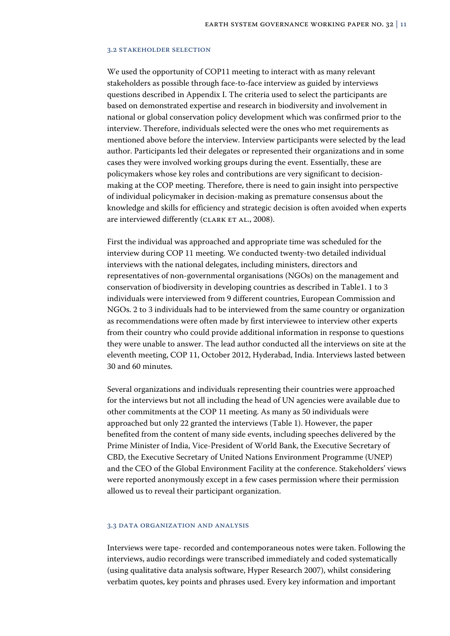#### 3.2 Stakeholder selection

We used the opportunity of COP11 meeting to interact with as many relevant stakeholders as possible through face-to-face interview as guided by interviews questions described in Appendix I. The criteria used to select the participants are based on demonstrated expertise and research in biodiversity and involvement in national or global conservation policy development which was confirmed prior to the interview. Therefore, individuals selected were the ones who met requirements as mentioned above before the interview. Interview participants were selected by the lead author. Participants led their delegates or represented their organizations and in some cases they were involved working groups during the event. Essentially, these are policymakers whose key roles and contributions are very significant to decisionmaking at the COP meeting. Therefore, there is need to gain insight into perspective of individual policymaker in decision-making as premature consensus about the knowledge and skills for efficiency and strategic decision is often avoided when experts are interviewed differently (CLARK ET AL., 2008).

First the individual was approached and appropriate time was scheduled for the interview during COP 11 meeting. We conducted twenty-two detailed individual interviews with the national delegates, including ministers, directors and representatives of non-governmental organisations (NGOs) on the management and conservation of biodiversity in developing countries as described in Table1. 1 to 3 individuals were interviewed from 9 different countries, European Commission and NGOs. 2 to 3 individuals had to be interviewed from the same country or organization as recommendations were often made by first interviewee to interview other experts from their country who could provide additional information in response to questions they were unable to answer. The lead author conducted all the interviews on site at the eleventh meeting, COP 11, October 2012, Hyderabad, India. Interviews lasted between 30 and 60 minutes.

Several organizations and individuals representing their countries were approached for the interviews but not all including the head of UN agencies were available due to other commitments at the COP 11 meeting. As many as 50 individuals were approached but only 22 granted the interviews (Table 1). However, the paper benefited from the content of many side events, including speeches delivered by the Prime Minister of India, Vice-President of World Bank, the Executive Secretary of CBD, the Executive Secretary of United Nations Environment Programme (UNEP) and the CEO of the Global Environment Facility at the conference. Stakeholders' views were reported anonymously except in a few cases permission where their permission allowed us to reveal their participant organization.

#### 3.3 Data organization and analysis

Interviews were tape- recorded and contemporaneous notes were taken. Following the interviews, audio recordings were transcribed immediately and coded systematically (using qualitative data analysis software, Hyper Research 2007), whilst considering verbatim quotes, key points and phrases used. Every key information and important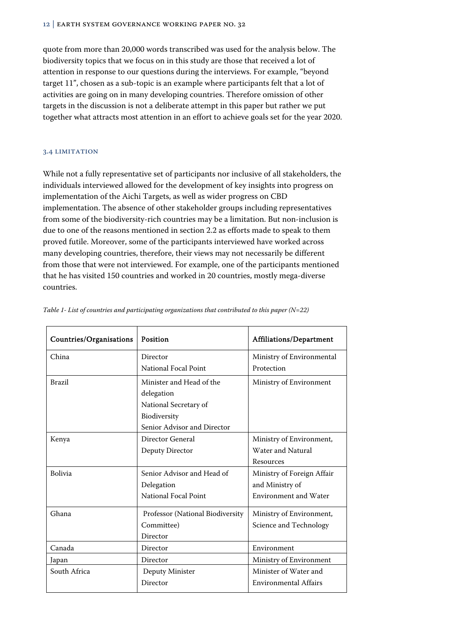quote from more than 20,000 words transcribed was used for the analysis below. The biodiversity topics that we focus on in this study are those that received a lot of attention in response to our questions during the interviews. For example, "beyond target 11", chosen as a sub-topic is an example where participants felt that a lot of activities are going on in many developing countries. Therefore omission of other targets in the discussion is not a deliberate attempt in this paper but rather we put together what attracts most attention in an effort to achieve goals set for the year 2020.

#### 3.4 LIMITATION

While not a fully representative set of participants nor inclusive of all stakeholders, the individuals interviewed allowed for the development of key insights into progress on implementation of the Aichi Targets, as well as wider progress on CBD implementation. The absence of other stakeholder groups including representatives from some of the biodiversity-rich countries may be a limitation. But non-inclusion is due to one of the reasons mentioned in section 2.2 as efforts made to speak to them proved futile. Moreover, some of the participants interviewed have worked across many developing countries, therefore, their views may not necessarily be different from those that were not interviewed. For example, one of the participants mentioned that he has visited 150 countries and worked in 20 countries, mostly mega-diverse countries.

| Countries/Organisations | Position                         | Affiliations/Department      |
|-------------------------|----------------------------------|------------------------------|
| China                   | Director                         | Ministry of Environmental    |
|                         | National Focal Point             | Protection                   |
| <b>Brazil</b>           | Minister and Head of the         | Ministry of Environment      |
|                         | delegation                       |                              |
|                         | National Secretary of            |                              |
|                         | Biodiversity                     |                              |
|                         | Senior Advisor and Director      |                              |
| Kenya                   | Director General                 | Ministry of Environment,     |
|                         | Deputy Director                  | Water and Natural            |
|                         |                                  | Resources                    |
| <b>Bolivia</b>          | Senior Advisor and Head of       | Ministry of Foreign Affair   |
|                         | Delegation                       | and Ministry of              |
|                         | National Focal Point             | <b>Environment and Water</b> |
| Ghana                   | Professor (National Biodiversity | Ministry of Environment,     |
|                         | Committee)                       | Science and Technology       |
|                         | Director                         |                              |
| Canada                  | Director                         | Environment                  |
| Japan                   | Director                         | Ministry of Environment      |
| South Africa            | Deputy Minister                  | Minister of Water and        |
|                         | Director                         | Environmental Affairs        |

*Table 1- List of countries and participating organizations that contributed to this paper (N=22)*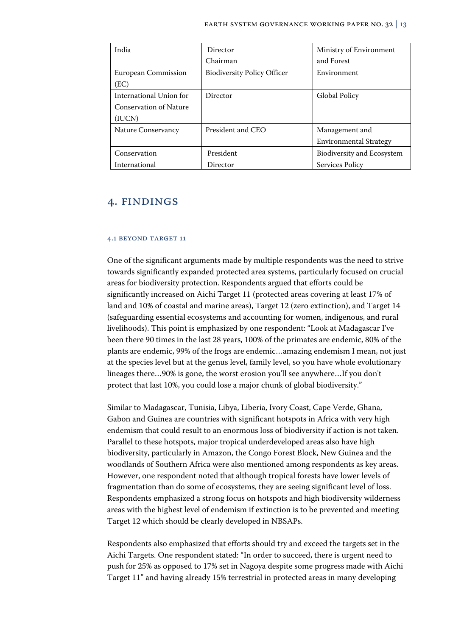| India                                                              | Director                           | Ministry of Environment                         |
|--------------------------------------------------------------------|------------------------------------|-------------------------------------------------|
|                                                                    | Chairman                           | and Forest                                      |
| European Commission<br>(EC)                                        | <b>Biodiversity Policy Officer</b> | Environment                                     |
| International Union for<br><b>Conservation of Nature</b><br>(IUCN) | Director                           | Global Policy                                   |
| Nature Conservancy                                                 | President and CEO                  | Management and<br><b>Environmental Strategy</b> |
| Conservation                                                       | President                          | <b>Biodiversity and Ecosystem</b>               |
| International                                                      | Director                           | <b>Services Policy</b>                          |

## 4. Findings

#### 4.1 Beyond Target 11

One of the significant arguments made by multiple respondents was the need to strive towards significantly expanded protected area systems, particularly focused on crucial areas for biodiversity protection. Respondents argued that efforts could be significantly increased on Aichi Target 11 (protected areas covering at least 17% of land and 10% of coastal and marine areas), Target 12 (zero extinction), and Target 14 (safeguarding essential ecosystems and accounting for women, indigenous, and rural livelihoods). This point is emphasized by one respondent: "Look at Madagascar I've been there 90 times in the last 28 years, 100% of the primates are endemic, 80% of the plants are endemic, 99% of the frogs are endemic…amazing endemism I mean, not just at the species level but at the genus level, family level, so you have whole evolutionary lineages there…90% is gone, the worst erosion you'll see anywhere…If you don't protect that last 10%, you could lose a major chunk of global biodiversity."

Similar to Madagascar, Tunisia, Libya, Liberia, Ivory Coast, Cape Verde, Ghana, Gabon and Guinea are countries with significant hotspots in Africa with very high endemism that could result to an enormous loss of biodiversity if action is not taken. Parallel to these hotspots, major tropical underdeveloped areas also have high biodiversity, particularly in Amazon, the Congo Forest Block, New Guinea and the woodlands of Southern Africa were also mentioned among respondents as key areas. However, one respondent noted that although tropical forests have lower levels of fragmentation than do some of ecosystems, they are seeing significant level of loss. Respondents emphasized a strong focus on hotspots and high biodiversity wilderness areas with the highest level of endemism if extinction is to be prevented and meeting Target 12 which should be clearly developed in NBSAPs.

Respondents also emphasized that efforts should try and exceed the targets set in the Aichi Targets. One respondent stated: "In order to succeed, there is urgent need to push for 25% as opposed to 17% set in Nagoya despite some progress made with Aichi Target 11" and having already 15% terrestrial in protected areas in many developing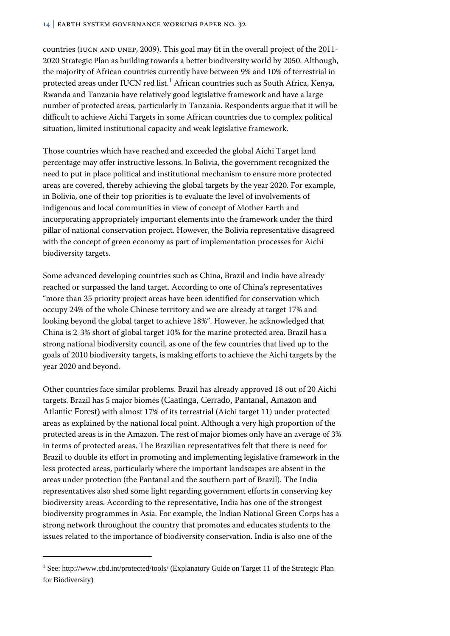countries (IUCN and UNEP, 2009). This goal may fit in the overall project of the 2011- 2020 Strategic Plan as building towards a better biodiversity world by 2050. Although, the majority of African countries currently have between 9% and 10% of terrestrial in protected areas under IUCN red list. $^{\rm l}$  African countries such as South Africa, Kenya, Rwanda and Tanzania have relatively good legislative framework and have a large number of protected areas, particularly in Tanzania. Respondents argue that it will be difficult to achieve Aichi Targets in some African countries due to complex political situation, limited institutional capacity and weak legislative framework.

Those countries which have reached and exceeded the global Aichi Target land percentage may offer instructive lessons. In Bolivia, the government recognized the need to put in place political and institutional mechanism to ensure more protected areas are covered, thereby achieving the global targets by the year 2020. For example, in Bolivia, one of their top priorities is to evaluate the level of involvements of indigenous and local communities in view of concept of Mother Earth and incorporating appropriately important elements into the framework under the third pillar of national conservation project. However, the Bolivia representative disagreed with the concept of green economy as part of implementation processes for Aichi biodiversity targets.

Some advanced developing countries such as China, Brazil and India have already reached or surpassed the land target. According to one of China's representatives "more than 35 priority project areas have been identified for conservation which occupy 24% of the whole Chinese territory and we are already at target 17% and looking beyond the global target to achieve 18%". However, he acknowledged that China is 2-3% short of global target 10% for the marine protected area. Brazil has a strong national biodiversity council, as one of the few countries that lived up to the goals of 2010 biodiversity targets, is making efforts to achieve the Aichi targets by the year 2020 and beyond.

Other countries face similar problems. Brazil has already approved 18 out of 20 Aichi targets. Brazil has 5 major biomes (Caatinga, Cerrado, Pantanal, Amazon and Atlantic Forest) with almost 17% of its terrestrial (Aichi target 11) under protected areas as explained by the national focal point. Although a very high proportion of the protected areas is in the Amazon. The rest of major biomes only have an average of 3% in terms of protected areas. The Brazilian representatives felt that there is need for Brazil to double its effort in promoting and implementing legislative framework in the less protected areas, particularly where the important landscapes are absent in the areas under protection (the Pantanal and the southern part of Brazil). The India representatives also shed some light regarding government efforts in conserving key biodiversity areas. According to the representative, India has one of the strongest biodiversity programmes in Asia. For example, the Indian National Green Corps has a strong network throughout the country that promotes and educates students to the issues related to the importance of biodiversity conservation. India is also one of the

 $\overline{a}$ 

<sup>&</sup>lt;sup>1</sup> See: http://www.cbd.int/protected/tools/ (Explanatory Guide on Target 11 of the Strategic Plan for Biodiversity)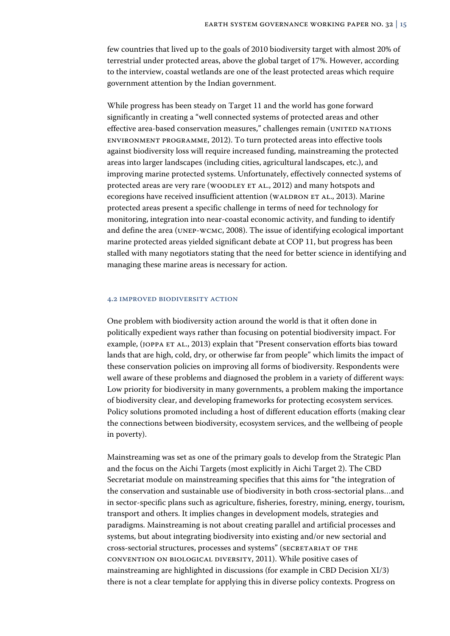few countries that lived up to the goals of 2010 biodiversity target with almost 20% of terrestrial under protected areas, above the global target of 17%. However, according to the interview, coastal wetlands are one of the least protected areas which require government attention by the Indian government.

While progress has been steady on Target 11 and the world has gone forward significantly in creating a "well connected systems of protected areas and other effective area-based conservation measures," challenges remain (UNITED NATIONS Environment Programme, 2012). To turn protected areas into effective tools against biodiversity loss will require increased funding, mainstreaming the protected areas into larger landscapes (including cities, agricultural landscapes, etc.), and improving marine protected systems. Unfortunately, effectively connected systems of protected areas are very rare (WOODLEY ET AL., 2012) and many hotspots and ecoregions have received insufficient attention (WALDRON ET AL., 2013). Marine protected areas present a specific challenge in terms of need for technology for monitoring, integration into near-coastal economic activity, and funding to identify and define the area (UNEP-WCMC, 2008). The issue of identifying ecological important marine protected areas yielded significant debate at COP 11, but progress has been stalled with many negotiators stating that the need for better science in identifying and managing these marine areas is necessary for action.

#### 4.2 Improved Biodiversity Action

One problem with biodiversity action around the world is that it often done in politically expedient ways rather than focusing on potential biodiversity impact. For example, (JOPPA ET AL., 2013) explain that "Present conservation efforts bias toward lands that are high, cold, dry, or otherwise far from people" which limits the impact of these conservation policies on improving all forms of biodiversity. Respondents were well aware of these problems and diagnosed the problem in a variety of different ways: Low priority for biodiversity in many governments, a problem making the importance of biodiversity clear, and developing frameworks for protecting ecosystem services. Policy solutions promoted including a host of different education efforts (making clear the connections between biodiversity, ecosystem services, and the wellbeing of people in poverty).

Mainstreaming was set as one of the primary goals to develop from the Strategic Plan and the focus on the Aichi Targets (most explicitly in Aichi Target 2). The CBD Secretariat module on mainstreaming specifies that this aims for "the integration of the conservation and sustainable use of biodiversity in both cross-sectorial plans…and in sector-specific plans such as agriculture, fisheries, forestry, mining, energy, tourism, transport and others. It implies changes in development models, strategies and paradigms. Mainstreaming is not about creating parallel and artificial processes and systems, but about integrating biodiversity into existing and/or new sectorial and cross-sectorial structures, processes and systems" (SECRETARIAT OF THE Convention on Biological Diversity, 2011). While positive cases of mainstreaming are highlighted in discussions (for example in CBD Decision XI/3) there is not a clear template for applying this in diverse policy contexts. Progress on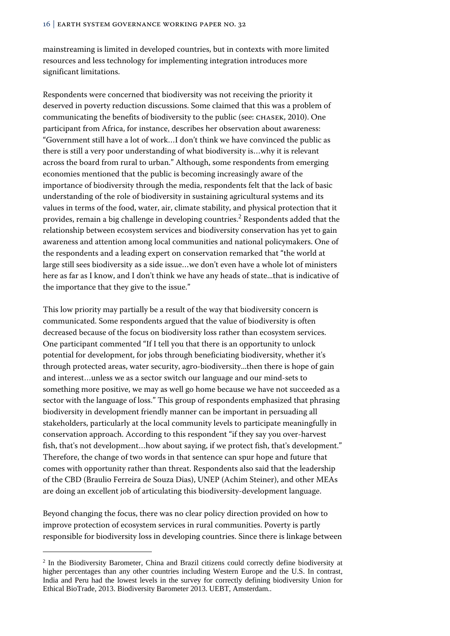mainstreaming is limited in developed countries, but in contexts with more limited resources and less technology for implementing integration introduces more significant limitations.

Respondents were concerned that biodiversity was not receiving the priority it deserved in poverty reduction discussions. Some claimed that this was a problem of communicating the benefits of biodiversity to the public (see: CHASEK, 2010). One participant from Africa, for instance, describes her observation about awareness: "Government still have a lot of work…I don't think we have convinced the public as there is still a very poor understanding of what biodiversity is…why it is relevant across the board from rural to urban." Although, some respondents from emerging economies mentioned that the public is becoming increasingly aware of the importance of biodiversity through the media, respondents felt that the lack of basic understanding of the role of biodiversity in sustaining agricultural systems and its values in terms of the food, water, air, climate stability, and physical protection that it provides, remain a big challenge in developing countries. $^2$  Respondents added that the relationship between ecosystem services and biodiversity conservation has yet to gain awareness and attention among local communities and national policymakers. One of the respondents and a leading expert on conservation remarked that "the world at large still sees biodiversity as a side issue…we don't even have a whole lot of ministers here as far as I know, and I don't think we have any heads of state...that is indicative of the importance that they give to the issue."

This low priority may partially be a result of the way that biodiversity concern is communicated. Some respondents argued that the value of biodiversity is often decreased because of the focus on biodiversity loss rather than ecosystem services. One participant commented "If I tell you that there is an opportunity to unlock potential for development, for jobs through beneficiating biodiversity, whether it's through protected areas, water security, agro-biodiversity...then there is hope of gain and interest…unless we as a sector switch our language and our mind-sets to something more positive, we may as well go home because we have not succeeded as a sector with the language of loss." This group of respondents emphasized that phrasing biodiversity in development friendly manner can be important in persuading all stakeholders, particularly at the local community levels to participate meaningfully in conservation approach. According to this respondent "if they say you over-harvest fish, that's not development…how about saying, if we protect fish, that's development." Therefore, the change of two words in that sentence can spur hope and future that comes with opportunity rather than threat. Respondents also said that the leadership of the CBD (Braulio Ferreira de Souza Dias), UNEP (Achim Steiner), and other MEAs are doing an excellent job of articulating this biodiversity-development language.

Beyond changing the focus, there was no clear policy direction provided on how to improve protection of ecosystem services in rural communities. Poverty is partly responsible for biodiversity loss in developing countries. Since there is linkage between

 $\overline{a}$ 

<sup>&</sup>lt;sup>2</sup> In the Biodiversity Barometer, China and Brazil citizens could correctly define biodiversity at higher percentages than any other countries including Western Europe and the U.S. In contrast, India and Peru had the lowest levels in the survey for correctly defining biodiversity Union for Ethical BioTrade, 2013. Biodiversity Barometer 2013. UEBT, Amsterdam..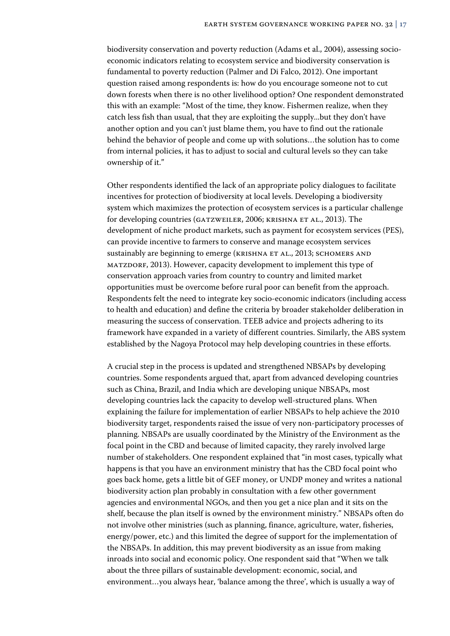biodiversity conservation and poverty reduction (Adams et al., 2004), assessing socioeconomic indicators relating to ecosystem service and biodiversity conservation is fundamental to poverty reduction (Palmer and Di Falco, 2012). One important question raised among respondents is: how do you encourage someone not to cut down forests when there is no other livelihood option? One respondent demonstrated this with an example: "Most of the time, they know. Fishermen realize, when they catch less fish than usual, that they are exploiting the supply...but they don't have another option and you can't just blame them, you have to find out the rationale behind the behavior of people and come up with solutions…the solution has to come from internal policies, it has to adjust to social and cultural levels so they can take ownership of it."

Other respondents identified the lack of an appropriate policy dialogues to facilitate incentives for protection of biodiversity at local levels. Developing a biodiversity system which maximizes the protection of ecosystem services is a particular challenge for developing countries (GATZWEILER, 2006; KRISHNA ET AL., 2013). The development of niche product markets, such as payment for ecosystem services (PES), can provide incentive to farmers to conserve and manage ecosystem services sustainably are beginning to emerge (KRISHNA ET AL., 2013; SCHOMERS AND MATZDORF, 2013). However, capacity development to implement this type of conservation approach varies from country to country and limited market opportunities must be overcome before rural poor can benefit from the approach. Respondents felt the need to integrate key socio-economic indicators (including access to health and education) and define the criteria by broader stakeholder deliberation in measuring the success of conservation. TEEB advice and projects adhering to its framework have expanded in a variety of different countries. Similarly, the ABS system established by the Nagoya Protocol may help developing countries in these efforts.

A crucial step in the process is updated and strengthened NBSAPs by developing countries. Some respondents argued that, apart from advanced developing countries such as China, Brazil, and India which are developing unique NBSAPs, most developing countries lack the capacity to develop well-structured plans. When explaining the failure for implementation of earlier NBSAPs to help achieve the 2010 biodiversity target, respondents raised the issue of very non-participatory processes of planning. NBSAPs are usually coordinated by the Ministry of the Environment as the focal point in the CBD and because of limited capacity, they rarely involved large number of stakeholders. One respondent explained that "in most cases, typically what happens is that you have an environment ministry that has the CBD focal point who goes back home, gets a little bit of GEF money, or UNDP money and writes a national biodiversity action plan probably in consultation with a few other government agencies and environmental NGOs, and then you get a nice plan and it sits on the shelf, because the plan itself is owned by the environment ministry." NBSAPs often do not involve other ministries (such as planning, finance, agriculture, water, fisheries, energy/power, etc.) and this limited the degree of support for the implementation of the NBSAPs. In addition, this may prevent biodiversity as an issue from making inroads into social and economic policy. One respondent said that "When we talk about the three pillars of sustainable development: economic, social, and environment…you always hear, 'balance among the three', which is usually a way of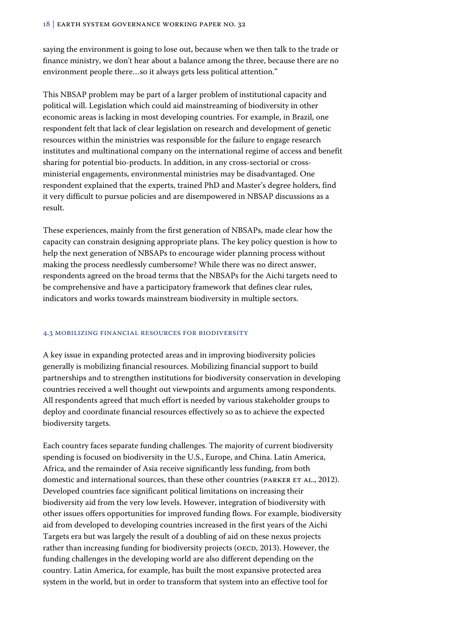saying the environment is going to lose out, because when we then talk to the trade or finance ministry, we don't hear about a balance among the three, because there are no environment people there…so it always gets less political attention."

This NBSAP problem may be part of a larger problem of institutional capacity and political will. Legislation which could aid mainstreaming of biodiversity in other economic areas is lacking in most developing countries. For example, in Brazil, one respondent felt that lack of clear legislation on research and development of genetic resources within the ministries was responsible for the failure to engage research institutes and multinational company on the international regime of access and benefit sharing for potential bio-products. In addition, in any cross-sectorial or crossministerial engagements, environmental ministries may be disadvantaged. One respondent explained that the experts, trained PhD and Master's degree holders, find it very difficult to pursue policies and are disempowered in NBSAP discussions as a result.

These experiences, mainly from the first generation of NBSAPs, made clear how the capacity can constrain designing appropriate plans. The key policy question is how to help the next generation of NBSAPs to encourage wider planning process without making the process needlessly cumbersome? While there was no direct answer, respondents agreed on the broad terms that the NBSAPs for the Aichi targets need to be comprehensive and have a participatory framework that defines clear rules, indicators and works towards mainstream biodiversity in multiple sectors.

#### 4.3 Mobilizing financial resources for biodiversity

A key issue in expanding protected areas and in improving biodiversity policies generally is mobilizing financial resources. Mobilizing financial support to build partnerships and to strengthen institutions for biodiversity conservation in developing countries received a well thought out viewpoints and arguments among respondents. All respondents agreed that much effort is needed by various stakeholder groups to deploy and coordinate financial resources effectively so as to achieve the expected biodiversity targets.

Each country faces separate funding challenges. The majority of current biodiversity spending is focused on biodiversity in the U.S., Europe, and China. Latin America, Africa, and the remainder of Asia receive significantly less funding, from both domestic and international sources, than these other countries (PARKER ET AL., 2012). Developed countries face significant political limitations on increasing their biodiversity aid from the very low levels. However, integration of biodiversity with other issues offers opportunities for improved funding flows. For example, biodiversity aid from developed to developing countries increased in the first years of the Aichi Targets era but was largely the result of a doubling of aid on these nexus projects rather than increasing funding for biodiversity projects (OECD, 2013). However, the funding challenges in the developing world are also different depending on the country. Latin America, for example, has built the most expansive protected area system in the world, but in order to transform that system into an effective tool for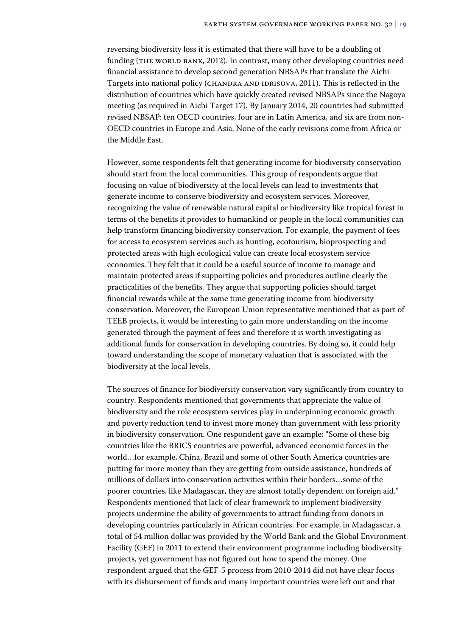reversing biodiversity loss it is estimated that there will have to be a doubling of funding (THE WORLD BANK, 2012). In contrast, many other developing countries need financial assistance to develop second generation NBSAPs that translate the Aichi Targets into national policy (CHANDRA AND IDRISOVA, 2011). This is reflected in the distribution of countries which have quickly created revised NBSAPs since the Nagoya meeting (as required in Aichi Target 17). By January 2014, 20 countries had submitted revised NBSAP: ten OECD countries, four are in Latin America, and six are from non-OECD countries in Europe and Asia. None of the early revisions come from Africa or the Middle East.

However, some respondents felt that generating income for biodiversity conservation should start from the local communities. This group of respondents argue that focusing on value of biodiversity at the local levels can lead to investments that generate income to conserve biodiversity and ecosystem services. Moreover, recognizing the value of renewable natural capital or biodiversity like tropical forest in terms of the benefits it provides to humankind or people in the local communities can help transform financing biodiversity conservation. For example, the payment of fees for access to ecosystem services such as hunting, ecotourism, bioprospecting and protected areas with high ecological value can create local ecosystem service economies. They felt that it could be a useful source of income to manage and maintain protected areas if supporting policies and procedures outline clearly the practicalities of the benefits. They argue that supporting policies should target financial rewards while at the same time generating income from biodiversity conservation. Moreover, the European Union representative mentioned that as part of TEEB projects, it would be interesting to gain more understanding on the income generated through the payment of fees and therefore it is worth investigating as additional funds for conservation in developing countries. By doing so, it could help toward understanding the scope of monetary valuation that is associated with the biodiversity at the local levels.

The sources of finance for biodiversity conservation vary significantly from country to country. Respondents mentioned that governments that appreciate the value of biodiversity and the role ecosystem services play in underpinning economic growth and poverty reduction tend to invest more money than government with less priority in biodiversity conservation. One respondent gave an example: "Some of these big countries like the BRICS countries are powerful, advanced economic forces in the world…for example, China, Brazil and some of other South America countries are putting far more money than they are getting from outside assistance, hundreds of millions of dollars into conservation activities within their borders…some of the poorer countries, like Madagascar, they are almost totally dependent on foreign aid." Respondents mentioned that lack of clear framework to implement biodiversity projects undermine the ability of governments to attract funding from donors in developing countries particularly in African countries. For example, in Madagascar, a total of 54 million dollar was provided by the World Bank and the Global Environment Facility (GEF) in 2011 to extend their environment programme including biodiversity projects, yet government has not figured out how to spend the money. One respondent argued that the GEF-5 process from 2010-2014 did not have clear focus with its disbursement of funds and many important countries were left out and that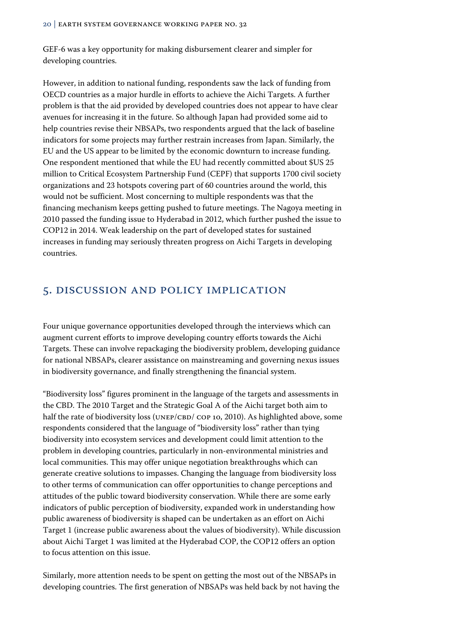GEF-6 was a key opportunity for making disbursement clearer and simpler for developing countries.

However, in addition to national funding, respondents saw the lack of funding from OECD countries as a major hurdle in efforts to achieve the Aichi Targets. A further problem is that the aid provided by developed countries does not appear to have clear avenues for increasing it in the future. So although Japan had provided some aid to help countries revise their NBSAPs, two respondents argued that the lack of baseline indicators for some projects may further restrain increases from Japan. Similarly, the EU and the US appear to be limited by the economic downturn to increase funding. One respondent mentioned that while the EU had recently committed about \$US 25 million to Critical Ecosystem Partnership Fund (CEPF) that supports 1700 civil society organizations and 23 hotspots covering part of 60 countries around the world, this would not be sufficient. Most concerning to multiple respondents was that the financing mechanism keeps getting pushed to future meetings. The Nagoya meeting in 2010 passed the funding issue to Hyderabad in 2012, which further pushed the issue to COP12 in 2014. Weak leadership on the part of developed states for sustained increases in funding may seriously threaten progress on Aichi Targets in developing countries.

## 5. Discussion and policy implication

Four unique governance opportunities developed through the interviews which can augment current efforts to improve developing country efforts towards the Aichi Targets. These can involve repackaging the biodiversity problem, developing guidance for national NBSAPs, clearer assistance on mainstreaming and governing nexus issues in biodiversity governance, and finally strengthening the financial system.

"Biodiversity loss" figures prominent in the language of the targets and assessments in the CBD. The 2010 Target and the Strategic Goal A of the Aichi target both aim to half the rate of biodiversity loss (UNEP/CBD/ COP 10, 2010). As highlighted above, some respondents considered that the language of "biodiversity loss" rather than tying biodiversity into ecosystem services and development could limit attention to the problem in developing countries, particularly in non-environmental ministries and local communities. This may offer unique negotiation breakthroughs which can generate creative solutions to impasses. Changing the language from biodiversity loss to other terms of communication can offer opportunities to change perceptions and attitudes of the public toward biodiversity conservation. While there are some early indicators of public perception of biodiversity, expanded work in understanding how public awareness of biodiversity is shaped can be undertaken as an effort on Aichi Target 1 (increase public awareness about the values of biodiversity). While discussion about Aichi Target 1 was limited at the Hyderabad COP, the COP12 offers an option to focus attention on this issue.

Similarly, more attention needs to be spent on getting the most out of the NBSAPs in developing countries. The first generation of NBSAPs was held back by not having the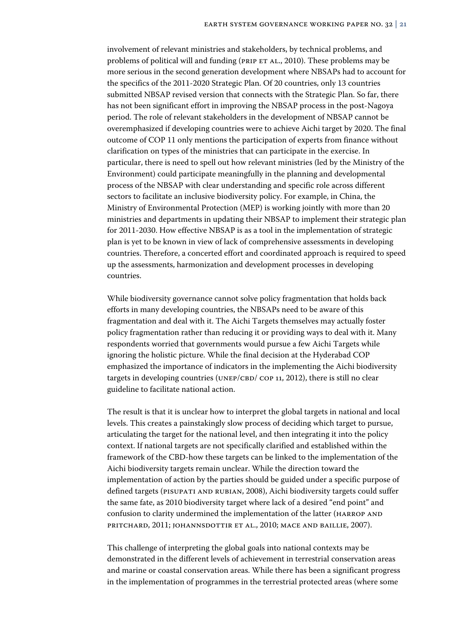involvement of relevant ministries and stakeholders, by technical problems, and problems of political will and funding (Prip et al., 2010). These problems may be more serious in the second generation development where NBSAPs had to account for the specifics of the 2011-2020 Strategic Plan. Of 20 countries, only 13 countries submitted NBSAP revised version that connects with the Strategic Plan. So far, there has not been significant effort in improving the NBSAP process in the post-Nagoya period. The role of relevant stakeholders in the development of NBSAP cannot be overemphasized if developing countries were to achieve Aichi target by 2020. The final outcome of COP 11 only mentions the participation of experts from finance without clarification on types of the ministries that can participate in the exercise. In particular, there is need to spell out how relevant ministries (led by the Ministry of the Environment) could participate meaningfully in the planning and developmental process of the NBSAP with clear understanding and specific role across different sectors to facilitate an inclusive biodiversity policy. For example, in China, the Ministry of Environmental Protection (MEP) is working jointly with more than 20 ministries and departments in updating their NBSAP to implement their strategic plan for 2011-2030. How effective NBSAP is as a tool in the implementation of strategic plan is yet to be known in view of lack of comprehensive assessments in developing countries. Therefore, a concerted effort and coordinated approach is required to speed up the assessments, harmonization and development processes in developing countries.

While biodiversity governance cannot solve policy fragmentation that holds back efforts in many developing countries, the NBSAPs need to be aware of this fragmentation and deal with it. The Aichi Targets themselves may actually foster policy fragmentation rather than reducing it or providing ways to deal with it. Many respondents worried that governments would pursue a few Aichi Targets while ignoring the holistic picture. While the final decision at the Hyderabad COP emphasized the importance of indicators in the implementing the Aichi biodiversity targets in developing countries (UNEP/CBD/ COP 11, 2012), there is still no clear guideline to facilitate national action.

The result is that it is unclear how to interpret the global targets in national and local levels. This creates a painstakingly slow process of deciding which target to pursue, articulating the target for the national level, and then integrating it into the policy context. If national targets are not specifically clarified and established within the framework of the CBD-how these targets can be linked to the implementation of the Aichi biodiversity targets remain unclear. While the direction toward the implementation of action by the parties should be guided under a specific purpose of defined targets (PISUPATI AND RUBIAN, 2008), Aichi biodiversity targets could suffer the same fate, as 2010 biodiversity target where lack of a desired "end point" and confusion to clarity undermined the implementation of the latter (HARROP AND PRITCHARD, 2011; JOHANNSDOTTIR ET AL., 2010; MACE AND BAILLIE, 2007).

This challenge of interpreting the global goals into national contexts may be demonstrated in the different levels of achievement in terrestrial conservation areas and marine or coastal conservation areas. While there has been a significant progress in the implementation of programmes in the terrestrial protected areas (where some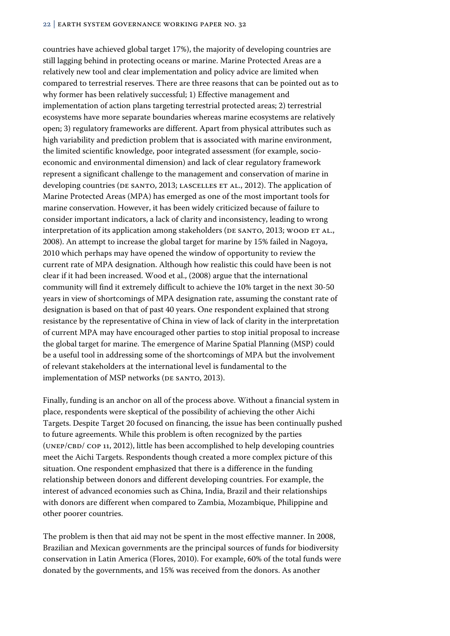countries have achieved global target 17%), the majority of developing countries are still lagging behind in protecting oceans or marine. Marine Protected Areas are a relatively new tool and clear implementation and policy advice are limited when compared to terrestrial reserves. There are three reasons that can be pointed out as to why former has been relatively successful; 1) Effective management and implementation of action plans targeting terrestrial protected areas; 2) terrestrial ecosystems have more separate boundaries whereas marine ecosystems are relatively open; 3) regulatory frameworks are different. Apart from physical attributes such as high variability and prediction problem that is associated with marine environment, the limited scientific knowledge, poor integrated assessment (for example, socioeconomic and environmental dimension) and lack of clear regulatory framework represent a significant challenge to the management and conservation of marine in developing countries (DE SANTO, 2013; LASCELLES ET AL., 2012). The application of Marine Protected Areas (MPA) has emerged as one of the most important tools for marine conservation. However, it has been widely criticized because of failure to consider important indicators, a lack of clarity and inconsistency, leading to wrong interpretation of its application among stakeholders (DE SANTO, 2013; WOOD ET AL., 2008). An attempt to increase the global target for marine by 15% failed in Nagoya, 2010 which perhaps may have opened the window of opportunity to review the current rate of MPA designation. Although how realistic this could have been is not clear if it had been increased. Wood et al., (2008) argue that the international community will find it extremely difficult to achieve the 10% target in the next 30-50 years in view of shortcomings of MPA designation rate, assuming the constant rate of designation is based on that of past 40 years. One respondent explained that strong resistance by the representative of China in view of lack of clarity in the interpretation of current MPA may have encouraged other parties to stop initial proposal to increase the global target for marine. The emergence of Marine Spatial Planning (MSP) could be a useful tool in addressing some of the shortcomings of MPA but the involvement of relevant stakeholders at the international level is fundamental to the implementation of MSP networks (De Santo, 2013).

Finally, funding is an anchor on all of the process above. Without a financial system in place, respondents were skeptical of the possibility of achieving the other Aichi Targets. Despite Target 20 focused on financing, the issue has been continually pushed to future agreements. While this problem is often recognized by the parties (UNEP/CBD/ COP 11, 2012), little has been accomplished to help developing countries meet the Aichi Targets. Respondents though created a more complex picture of this situation. One respondent emphasized that there is a difference in the funding relationship between donors and different developing countries. For example, the interest of advanced economies such as China, India, Brazil and their relationships with donors are different when compared to Zambia, Mozambique, Philippine and other poorer countries.

The problem is then that aid may not be spent in the most effective manner. In 2008, Brazilian and Mexican governments are the principal sources of funds for biodiversity conservation in Latin America (Flores, 2010). For example, 60% of the total funds were donated by the governments, and 15% was received from the donors. As another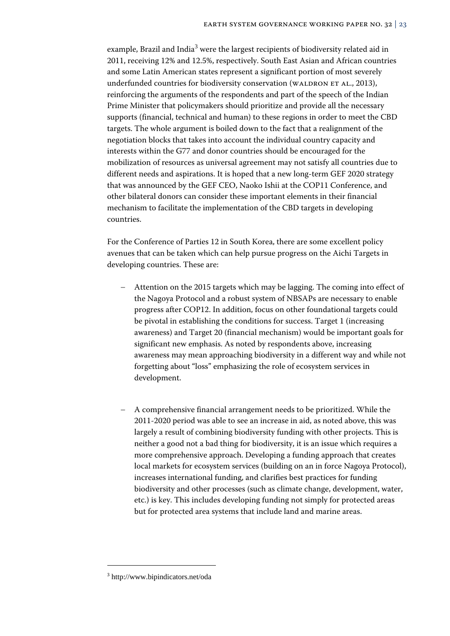example, Brazil and India $^3$  were the largest recipients of biodiversity related aid in 2011, receiving 12% and 12.5%, respectively. South East Asian and African countries and some Latin American states represent a significant portion of most severely underfunded countries for biodiversity conservation (WALDRON ET AL., 2013), reinforcing the arguments of the respondents and part of the speech of the Indian Prime Minister that policymakers should prioritize and provide all the necessary supports (financial, technical and human) to these regions in order to meet the CBD targets. The whole argument is boiled down to the fact that a realignment of the negotiation blocks that takes into account the individual country capacity and interests within the G77 and donor countries should be encouraged for the mobilization of resources as universal agreement may not satisfy all countries due to different needs and aspirations. It is hoped that a new long-term GEF 2020 strategy that was announced by the GEF CEO, Naoko Ishii at the COP11 Conference, and other bilateral donors can consider these important elements in their financial mechanism to facilitate the implementation of the CBD targets in developing countries.

For the Conference of Parties 12 in South Korea, there are some excellent policy avenues that can be taken which can help pursue progress on the Aichi Targets in developing countries. These are:

- Attention on the 2015 targets which may be lagging. The coming into effect of the Nagoya Protocol and a robust system of NBSAPs are necessary to enable progress after COP12. In addition, focus on other foundational targets could be pivotal in establishing the conditions for success. Target 1 (increasing awareness) and Target 20 (financial mechanism) would be important goals for significant new emphasis. As noted by respondents above, increasing awareness may mean approaching biodiversity in a different way and while not forgetting about "loss" emphasizing the role of ecosystem services in development.
- A comprehensive financial arrangement needs to be prioritized. While the 2011-2020 period was able to see an increase in aid, as noted above, this was largely a result of combining biodiversity funding with other projects. This is neither a good not a bad thing for biodiversity, it is an issue which requires a more comprehensive approach. Developing a funding approach that creates local markets for ecosystem services (building on an in force Nagoya Protocol), increases international funding, and clarifies best practices for funding biodiversity and other processes (such as climate change, development, water, etc.) is key. This includes developing funding not simply for protected areas but for protected area systems that include land and marine areas.

**.** 

<sup>3</sup> http://www.bipindicators.net/oda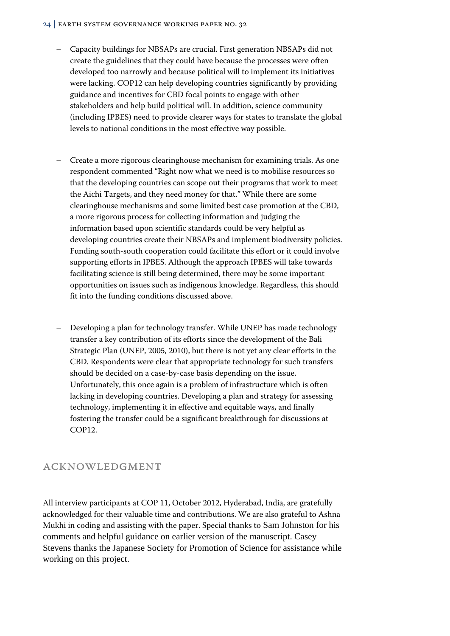#### 24 | Earth System Governance Working Paper No. 32

- Capacity buildings for NBSAPs are crucial. First generation NBSAPs did not create the guidelines that they could have because the processes were often developed too narrowly and because political will to implement its initiatives were lacking. COP12 can help developing countries significantly by providing guidance and incentives for CBD focal points to engage with other stakeholders and help build political will. In addition, science community (including IPBES) need to provide clearer ways for states to translate the global levels to national conditions in the most effective way possible.
- Create a more rigorous clearinghouse mechanism for examining trials. As one respondent commented "Right now what we need is to mobilise resources so that the developing countries can scope out their programs that work to meet the Aichi Targets, and they need money for that." While there are some clearinghouse mechanisms and some limited best case promotion at the CBD, a more rigorous process for collecting information and judging the information based upon scientific standards could be very helpful as developing countries create their NBSAPs and implement biodiversity policies. Funding south-south cooperation could facilitate this effort or it could involve supporting efforts in IPBES. Although the approach IPBES will take towards facilitating science is still being determined, there may be some important opportunities on issues such as indigenous knowledge. Regardless, this should fit into the funding conditions discussed above.
- Developing a plan for technology transfer. While UNEP has made technology transfer a key contribution of its efforts since the development of the Bali Strategic Plan (UNEP, 2005, 2010), but there is not yet any clear efforts in the CBD. Respondents were clear that appropriate technology for such transfers should be decided on a case-by-case basis depending on the issue. Unfortunately, this once again is a problem of infrastructure which is often lacking in developing countries. Developing a plan and strategy for assessing technology, implementing it in effective and equitable ways, and finally fostering the transfer could be a significant breakthrough for discussions at COP12.

## Acknowledgment

All interview participants at COP 11, October 2012, Hyderabad, India, are gratefully acknowledged for their valuable time and contributions. We are also grateful to Ashna Mukhi in coding and assisting with the paper. Special thanks to Sam Johnston for his comments and helpful guidance on earlier version of the manuscript. Casey Stevens thanks the Japanese Society for Promotion of Science for assistance while working on this project.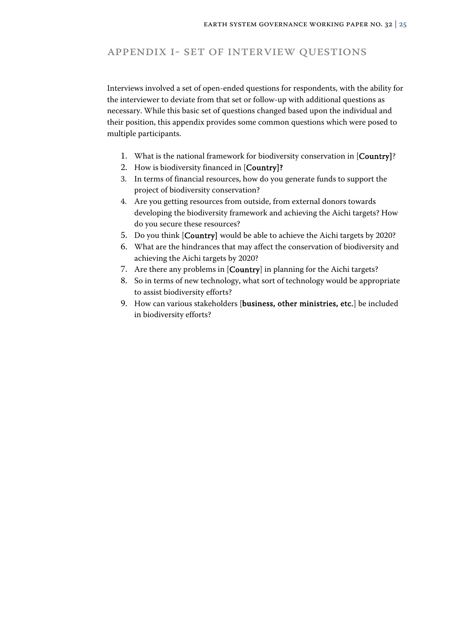## Appendix I- Set of Interview Questions

Interviews involved a set of open-ended questions for respondents, with the ability for the interviewer to deviate from that set or follow-up with additional questions as necessary. While this basic set of questions changed based upon the individual and their position, this appendix provides some common questions which were posed to multiple participants.

- 1. What is the national framework for biodiversity conservation in [Country]?
- 2. How is biodiversity financed in [Country]?
- 3. In terms of financial resources, how do you generate funds to support the project of biodiversity conservation?
- 4. Are you getting resources from outside, from external donors towards developing the biodiversity framework and achieving the Aichi targets? How do you secure these resources?
- 5. Do you think [Country] would be able to achieve the Aichi targets by 2020?
- 6. What are the hindrances that may affect the conservation of biodiversity and achieving the Aichi targets by 2020?
- 7. Are there any problems in [Country] in planning for the Aichi targets?
- 8. So in terms of new technology, what sort of technology would be appropriate to assist biodiversity efforts?
- 9. How can various stakeholders [business, other ministries, etc.] be included in biodiversity efforts?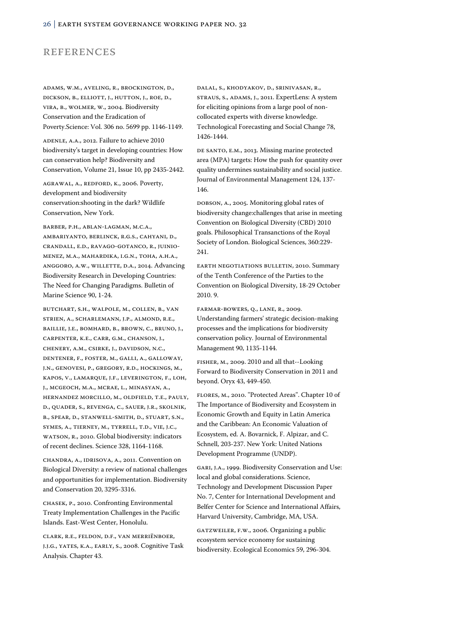## References

Adams, W.M., Aveling, R., Brockington, D., Dickson, B., Elliott, J., Hutton, J., Roe, D., Vira, B., Wolmer, W., 2004. Biodiversity Conservation and the Eradication of Poverty.Science: Vol. 306 no. 5699 pp. 1146-1149.

Adenle, A.A., 2012. Failure to achieve 2010 biodiversity's target in developing countries: How can conservation help? Biodiversity and Conservation, Volume 21, Issue 10, pp 2435-2442.

Agrawal, A., Redford, K., 2006. Poverty, development and biodiversity conservation:shooting in the dark? Wildlife Conservation, New York.

Barber, P.H., Ablan-Lagman, M.C.A., Ambariyanto, Berlinck, R.G.S., Cahyani, D., Crandall, E.D., Ravago-Gotanco, R., Juinio-Menez, M.A., Mahardika, I.G.N., Toha, A.H.A., ANGGORO, A.W., WILLETTE, D.A., 2014. Advancing Biodiversity Research in Developing Countries: The Need for Changing Paradigms. Bulletin of Marine Science 90, 1-24.

Butchart, S.H., Walpole, M., Collen, B., van Strien, A., Scharlemann, J.P., Almond, R.E., Baillie, J.E., Bomhard, B., Brown, C., Bruno, J., Carpenter, K.E., Carr, G.M., Chanson, J., Chenery, A.M., Csirke, J., Davidson, N.C., Dentener, F., Foster, M., Galli, A., Galloway, J.N., Genovesi, P., Gregory, R.D., Hockings, M., KAPOS, V., LAMAROUE, J.F., LEVERINGTON, F., LOH, J., McGeoch, M.A., McRae, L., Minasyan, A., Hernandez Morcillo, M., Oldfield, T.E., Pauly, D., Quader, S., Revenga, C., Sauer, J.R., Skolnik, B., Spear, D., Stanwell-Smith, D., Stuart, S.N., Symes, A., Tierney, M., Tyrrell, T.D., Vie, J.C., Watson, R., 2010. Global biodiversity: indicators of recent declines. Science 328, 1164-1168.

Chandra, A., Idrisova, A., 2011. Convention on Biological Diversity: a review of national challenges and opportunities for implementation. Biodiversity and Conservation 20, 3295-3316.

Chasek, P., 2010. Confronting Environmental Treaty Implementation Challenges in the Pacific Islands. East-West Center, Honolulu.

Clark, R.E., Feldon, D.F., van Merriënboer, J.J.G., Yates, K.A., Early, S., 2008. Cognitive Task Analysis. Chapter 43.

Dalal, S., Khodyakov, D., Srinivasan, R., Straus, S., Adams, J., 2011. ExpertLens: A system for eliciting opinions from a large pool of noncollocated experts with diverse knowledge. Technological Forecasting and Social Change 78, 1426-1444.

DE SANTO, E.M., 2013. Missing marine protected area (MPA) targets: How the push for quantity over quality undermines sustainability and social justice. Journal of Environmental Management 124, 137- 146.

Dobson, A., 2005. Monitoring global rates of biodiversity change:challenges that arise in meeting Convention on Biological Diversity (CBD) 2010 goals. Philosophical Transanctions of the Royal Society of London. Biological Sciences, 360:229- 241.

Earth Negotiations Bulletin, 2010. Summary of the Tenth Conference of the Parties to the Convention on Biological Diversity, 18-29 October 2010. 9.

Farmar-Bowers, Q., Lane, R., 2009. Understanding farmers' strategic decision-making processes and the implications for biodiversity conservation policy. Journal of Environmental Management 90, 1135-1144.

Fisher, M., 2009. 2010 and all that--Looking Forward to Biodiversity Conservation in 2011 and beyond. Oryx 43, 449-450.

Flores, M., 2010. ''Protected Areas''. Chapter 10 of The Importance of Biodiversity and Ecosystem in Economic Growth and Equity in Latin America and the Caribbean: An Economic Valuation of Ecosystem, ed. A. Bovarnick, F. Alpizar, and C. Schnell, 203-237. New York: United Nations Development Programme (UNDP).

Gari, J.A., 1999. Biodiversity Conservation and Use: local and global considerations. Science, Technology and Development Discussion Paper No. 7, Center for International Development and Belfer Center for Science and International Affairs, Harvard University, Cambridge, MA, USA.

Gatzweiler, F.W., 2006. Organizing a public ecosystem service economy for sustaining biodiversity. Ecological Economics 59, 296-304.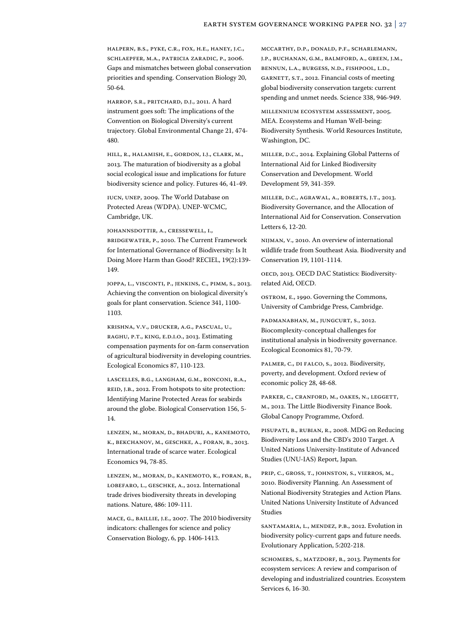Halpern, B.S., Pyke, C.R., Fox, H.E., Haney, J.C., Schlaepfer, M.A., Patricia Zaradic, P., 2006. Gaps and mismatches between global conservation priorities and spending. Conservation Biology 20, 50-64.

Harrop, S.R., Pritchard, D.J., 2011. A hard instrument goes soft: The implications of the Convention on Biological Diversity's current trajectory. Global Environmental Change 21, 474- 480.

Hill, R., Halamish, E., Gordon, I.J., Clark, M., 2013. The maturation of biodiversity as a global social ecological issue and implications for future biodiversity science and policy. Futures 46, 41-49.

IUCN, UNEP, 2009. The World Database on Protected Areas (WDPA). UNEP-WCMC, Cambridge, UK.

Johannsdottir, A., Cressewell, I., Bridgewater, P., 2010. The Current Framework for International Governance of Biodiversity: Is It Doing More Harm than Good? RECIEL, 19(2):139- 149.

Joppa, L., Visconti, P., Jenkins, C., Pimm, S., 2013. Achieving the convention on biological diversity's goals for plant conservation. Science 341, 1100- 1103.

Krishna, V.V., Drucker, A.G., Pascual, U., Raghu, P.T., King, E.D.I.O., 2013. Estimating compensation payments for on-farm conservation of agricultural biodiversity in developing countries. Ecological Economics 87, 110-123.

Lascelles, B.G., Langham, G.M., Ronconi, R.A., REID, J.B., 2012. From hotspots to site protection: Identifying Marine Protected Areas for seabirds around the globe. Biological Conservation 156, 5- 14.

Lenzen, M., Moran, D., Bhaduri, A., Kanemoto, K., Bekchanov, M., Geschke, A., Foran, B., 2013. International trade of scarce water. Ecological Economics 94, 78-85.

Lenzen, M., Moran, D., Kanemoto, K., Foran, B., Lobefaro, L., Geschke, A., 2012. International trade drives biodiversity threats in developing nations. Nature, 486: 109-111.

Mace, G., Baillie, J.E., 2007. The 2010 biodiversity indicators: challenges for science and policy Conservation Biology, 6, pp. 1406-1413.

McCarthy, D.P., Donald, P.F., Scharlemann, J.P., Buchanan, G.M., Balmford, A., Green, J.M., Bennun, L.A., Burgess, N.D., Fishpool, L.D., GARNETT, S.T., 2012. Financial costs of meeting global biodiversity conservation targets: current spending and unmet needs. Science 338, 946-949.

Millennium Ecosystem Assessment, 2005. MEA. Ecosystems and Human Well-being: Biodiversity Synthesis. World Resources Institute, Washington, DC.

Miller, D.C., 2014. Explaining Global Patterns of International Aid for Linked Biodiversity Conservation and Development. World Development 59, 341-359.

Miller, D.C., Agrawal, A., Roberts, J.T., 2013. Biodiversity Governance, and the Allocation of International Aid for Conservation. Conservation Letters 6, 12-20.

Nijman, V., 2010. An overview of international wildlife trade from Southeast Asia. Biodiversity and Conservation 19, 1101-1114.

OECD, 2013. OECD DAC Statistics: Biodiversityrelated Aid, OECD.

Ostrom, E., 1990. Governing the Commons, University of Cambridge Press, Cambridge.

Padmanabhan, M., Jungcurt, S., 2012. Biocomplexity-conceptual challenges for institutional analysis in biodiversity governance. Ecological Economics 81, 70-79.

Palmer, C., Di Falco, S., 2012. Biodiversity, poverty, and development. Oxford review of economic policy 28, 48-68.

PARKER, C., CRANFORD, M., OAKES, N., LEGGETT, M., 2012. The Little Biodiversity Finance Book. Global Canopy Programme, Oxford.

Pisupati, B., Rubian, R., 2008. MDG on Reducing Biodiversity Loss and the CBD's 2010 Target. A United Nations University-Institute of Advanced Studies (UNU-IAS) Report, Japan.

Prip, C., Gross, T., Johnston, S., Vierros, M., 2010. Biodiversity Planning. An Assessment of National Biodiversity Strategies and Action Plans. United Nations University Institute of Advanced Studies

Santamaria, L., Mendez, P.B., 2012. Evolution in biodiversity policy-current gaps and future needs. Evolutionary Application, 5:202-218.

Schomers, S., Matzdorf, B., 2013. Payments for ecosystem services: A review and comparison of developing and industrialized countries. Ecosystem Services 6, 16-30.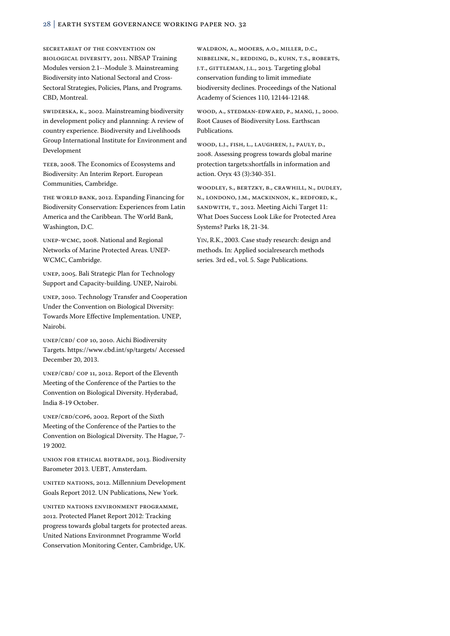Secretariat of the Convention on Biological Diversity, 2011. NBSAP Training Modules version 2.1--Module 3. Mainstreaming Biodiversity into National Sectoral and Cross-Sectoral Strategies, Policies, Plans, and Programs. CBD, Montreal.

Swiderska, K., 2002. Mainstreaming biodiversity in development policy and plannning: A review of country experience. Biodiversity and Livelihoods Group International Institute for Environment and Development

TEEB, 2008. The Economics of Ecosystems and Biodiversity: An Interim Report. European Communities, Cambridge.

The World Bank, 2012. Expanding Financing for Biodiversity Conservation: Experiences from Latin America and the Caribbean. The World Bank, Washington, D.C.

UNEP-WCMC, 2008. National and Regional Networks of Marine Protected Areas. UNEP-WCMC, Cambridge.

UNEP, 2005. Bali Strategic Plan for Technology Support and Capacity-building. UNEP, Nairobi.

UNEP, 2010. Technology Transfer and Cooperation Under the Convention on Biological Diversity: Towards More Effective Implementation. UNEP, Nairobi.

UNEP/CBD/ COP 10, 2010. Aichi Biodiversity Targets. https://www.cbd.int/sp/targets/ Accessed December 20, 2013.

UNEP/CBD/ COP 11, 2012. Report of the Eleventh Meeting of the Conference of the Parties to the Convention on Biological Diversity. Hyderabad, India 8-19 October.

UNEP/CBD/COP6, 2002. Report of the Sixth Meeting of the Conference of the Parties to the Convention on Biological Diversity. The Hague, 7- 19 2002.

Union for Ethical BioTrade, 2013. Biodiversity Barometer 2013. UEBT, Amsterdam.

United Nations, 2012. Millennium Development Goals Report 2012. UN Publications, New York.

United Nations Environment Programme, 2012. Protected Planet Report 2012: Tracking progress towards global targets for protected areas. United Nations Environmnet Programme World Conservation Monitoring Center, Cambridge, UK.

Waldron, A., Mooers, A.O., Miller, D.C., Nibbelink, N., Redding, D., Kuhn, T.S., Roberts, J.T., GITTLEMAN, J.L., 2013. Targeting global conservation funding to limit immediate biodiversity declines. Proceedings of the National Academy of Sciences 110, 12144-12148.

Wood, A., Stedman-Edward, P., Mang, J., 2000. Root Causes of Biodiversity Loss. Earthscan Publications.

Wood, L.J., Fish, L., Laughren, J., Pauly, D., 2008. Assessing progress towards global marine protection targets:shortfalls in information and action. Oryx 43 (3):340-351.

Woodley, S., Bertzky, B., Crawhill, N., Dudley, N., Londono, J.M., MacKinnon, K., Redford, K., SANDWITH, T., 2012. Meeting Aichi Target 11: What Does Success Look Like for Protected Area Systems? Parks 18, 21-34.

YIN, R.K., 2003. Case study research: design and methods. In: Applied socialresearch methods series. 3rd ed., vol. 5. Sage Publications.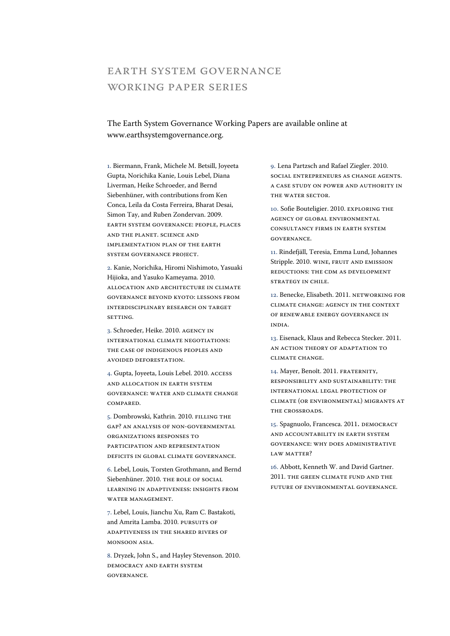## Earth System Governance Working Paper Series

## The Earth System Governance Working Papers are available online at www.earthsystemgovernance.org.

1. Biermann, Frank, Michele M. Betsill, Joyeeta Gupta, Norichika Kanie, Louis Lebel, Diana Liverman, Heike Schroeder, and Bernd Siebenhüner, with contributions from Ken Conca, Leila da Costa Ferreira, Bharat Desai, Simon Tay, and Ruben Zondervan. 2009. Earth System Governance: People, Places and the Planet. Science and Implementation Plan of the Earth System Governance Project.

2. Kanie, Norichika, Hiromi Nishimoto, Yasuaki Hijioka, and Yasuko Kameyama. 2010. Allocation and architecture in climate governance beyond Kyoto: lessons from interdisciplinary research on target setting.

3. Schroeder, Heike. 2010. Agency in international climate negotiations: the case of indigenous peoples and avoided deforestation.

4. Gupta, Joyeeta, Louis Lebel. 2010. Access and allocation in earth system governance: water and climate change compared.

5. Dombrowski, Kathrin. 2010. Filling the gap? An analysis of non-governmental organizations responses to participation and representation deficits in global climate governance.

6. Lebel, Louis, Torsten Grothmann, and Bernd Siebenhüner. 2010. THE ROLE OF SOCIAL learning in adaptiveness: insights from water management.

7. Lebel, Louis, Jianchu Xu, Ram C. Bastakoti, and Amrita Lamba. 2010. PURSUITS OF adaptiveness in the shared rivers of Monsoon Asia.

8. Dryzek, John S., and Hayley Stevenson. 2010. Democracy and Earth System Governance.

9. Lena Partzsch and Rafael Ziegler. 2010. Social Entrepreneurs as Change Agents. A Case Study on Power and Authority in the Water Sector.

10. Sofie Bouteligier. 2010. EXPLORING THE agency of global environmental consultancy firms in earth system governance.

11. Rindefjäll, Teresia, Emma Lund, Johannes Stripple. 2010. Wine, fruit and emission reductions: the CDM as development STRATEGY IN CHILE.

12. Benecke, Elisabeth. 2011. Networking for Climate Change: Agency in the Context of Renewable Energy Governance in India.

13. Eisenack, Klaus and Rebecca Stecker. 2011. An Action Theory of Adaptation to Climate Change.

14. Mayer, Benoît. 2011. Fraternity, Responsibility and Sustainability: The International Legal Protection of Climate (or Environmental) Migrants at THE CROSSROADS.

15. Spagnuolo, Francesca. 2011. Democracy and Accountability in Earth System Governance: Why Does Administrative LAW MATTER?

16. Abbott, Kenneth W. and David Gartner. 2011. The Green Climate Fund and the Future of Environmental Governance.